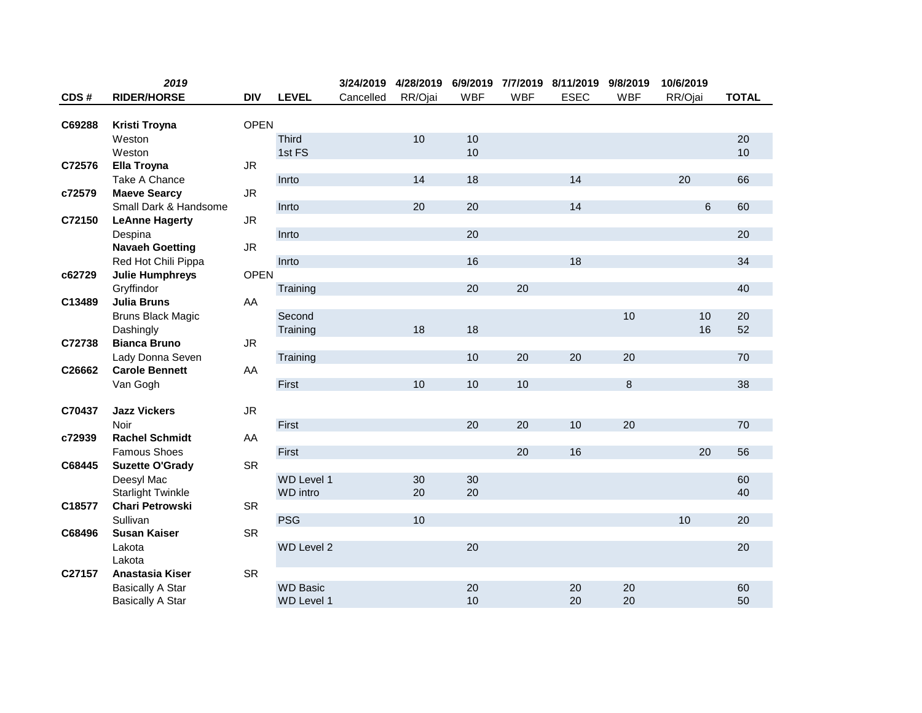|        | 2019                     |             |                   | 3/24/2019 |         |            |            | 4/28/2019 6/9/2019 7/7/2019 8/11/2019 | 9/8/2019   | 10/6/2019 |              |
|--------|--------------------------|-------------|-------------------|-----------|---------|------------|------------|---------------------------------------|------------|-----------|--------------|
| CDS#   | <b>RIDER/HORSE</b>       | <b>DIV</b>  | <b>LEVEL</b>      | Cancelled | RR/Ojai | <b>WBF</b> | <b>WBF</b> | <b>ESEC</b>                           | <b>WBF</b> | RR/Ojai   | <b>TOTAL</b> |
|        |                          |             |                   |           |         |            |            |                                       |            |           |              |
| C69288 | Kristi Troyna            | <b>OPEN</b> |                   |           |         |            |            |                                       |            |           |              |
|        | Weston                   |             | Third             |           | 10      | 10         |            |                                       |            |           | 20           |
|        | Weston                   |             | 1st FS            |           |         | 10         |            |                                       |            |           | 10           |
| C72576 | Ella Troyna              | <b>JR</b>   |                   |           |         |            |            |                                       |            |           |              |
|        | Take A Chance            |             | Inrto             |           | 14      | 18         |            | 14                                    |            | 20        | 66           |
| c72579 | <b>Maeve Searcy</b>      | ${\sf JR}$  |                   |           |         |            |            |                                       |            |           |              |
|        | Small Dark & Handsome    |             | Inrto             |           | 20      | 20         |            | 14                                    |            | 6         | 60           |
| C72150 | <b>LeAnne Hagerty</b>    | ${\sf JR}$  |                   |           |         |            |            |                                       |            |           |              |
|        | Despina                  |             | Inrto             |           |         | 20         |            |                                       |            |           | 20           |
|        | <b>Navaeh Goetting</b>   | <b>JR</b>   |                   |           |         |            |            |                                       |            |           |              |
|        | Red Hot Chili Pippa      |             | Inrto             |           |         | 16         |            | 18                                    |            |           | 34           |
| c62729 | <b>Julie Humphreys</b>   | <b>OPEN</b> |                   |           |         |            |            |                                       |            |           |              |
|        | Gryffindor               |             | Training          |           |         | 20         | 20         |                                       |            |           | 40           |
| C13489 | <b>Julia Bruns</b>       | AA          |                   |           |         |            |            |                                       |            |           |              |
|        | <b>Bruns Black Magic</b> |             | Second            |           |         |            |            |                                       | 10         | 10        | 20           |
|        | Dashingly                |             | Training          |           | 18      | 18         |            |                                       |            | 16        | 52           |
| C72738 | <b>Bianca Bruno</b>      | <b>JR</b>   |                   |           |         |            |            |                                       |            |           |              |
|        | Lady Donna Seven         |             | Training          |           |         | 10         | 20         | 20                                    | 20         |           | 70           |
| C26662 | <b>Carole Bennett</b>    | AA          |                   |           |         |            |            |                                       |            |           |              |
|        | Van Gogh                 |             | First             |           | 10      | 10         | 10         |                                       | 8          |           | 38           |
|        |                          |             |                   |           |         |            |            |                                       |            |           |              |
| C70437 | <b>Jazz Vickers</b>      | ${\sf JR}$  |                   |           |         |            |            |                                       |            |           |              |
|        | Noir                     |             | First             |           |         | 20         | 20         | 10                                    | 20         |           | 70           |
| c72939 | <b>Rachel Schmidt</b>    | AA          |                   |           |         |            |            |                                       |            |           |              |
|        | <b>Famous Shoes</b>      |             | First             |           |         |            | 20         | 16                                    |            | 20        | 56           |
| C68445 | <b>Suzette O'Grady</b>   | <b>SR</b>   |                   |           |         |            |            |                                       |            |           |              |
|        | Deesyl Mac               |             | WD Level 1        |           | 30      | 30         |            |                                       |            |           | 60           |
|        | <b>Starlight Twinkle</b> |             | <b>WD</b> intro   |           | 20      | 20         |            |                                       |            |           | 40           |
| C18577 | <b>Chari Petrowski</b>   | <b>SR</b>   |                   |           |         |            |            |                                       |            |           |              |
|        | Sullivan                 |             | <b>PSG</b>        |           | 10      |            |            |                                       |            | 10        | 20           |
| C68496 | <b>Susan Kaiser</b>      | <b>SR</b>   |                   |           |         |            |            |                                       |            |           |              |
|        | Lakota                   |             | WD Level 2        |           |         | 20         |            |                                       |            |           | 20           |
|        | Lakota                   |             |                   |           |         |            |            |                                       |            |           |              |
| C27157 | Anastasia Kiser          | <b>SR</b>   |                   |           |         |            |            |                                       |            |           |              |
|        | <b>Basically A Star</b>  |             | <b>WD Basic</b>   |           |         | 20         |            | 20                                    | 20         |           | 60           |
|        | <b>Basically A Star</b>  |             | <b>WD Level 1</b> |           |         | 10         |            | 20                                    | 20         |           | 50           |